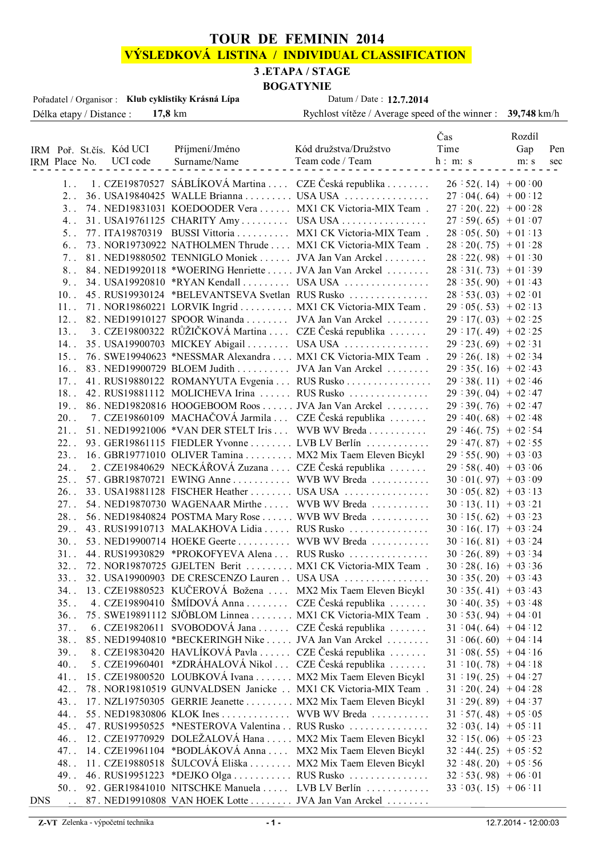### **TOUR DE FEMININ 2014**

## **VÝSLEDKOVÁ LISTINA / INDIVIDUAL CLASSIFICATION**

#### **3 .ETAPA / STAGE**

# **BOGATYNIE**<br>Datum / Date: 12 7 2014

| Pořadatel / Organisor : Klub cyklistiky Krásná Lípa | Datum / Date: 12.7.2014                                     |        |
|-----------------------------------------------------|-------------------------------------------------------------|--------|
| Délka etapy / Distance : 17,8 km                    | Rychlost vítěze / Average speed of the winner : 39,748 km/h |        |
|                                                     | $\Gamma$ as                                                 | Rozdíl |

|     |                      |  | IRM Poř. St.čís. Kód UCI Příjmení/Jméno Kód družstva/Družstvo Time Gap Pen<br>IRM Place No. UCI code Surname/Name Team code / Team h: m: s m: s sec | Cas                  | waan                             |  |
|-----|----------------------|--|-----------------------------------------------------------------------------------------------------------------------------------------------------|----------------------|----------------------------------|--|
|     |                      |  |                                                                                                                                                     |                      |                                  |  |
|     |                      |  | 1. 1. CZE19870527 SÁBLÍKOVÁ Martina  CZE Česká republika  26 : 52(.14) + 00 :00                                                                     |                      |                                  |  |
|     | 2.                   |  | 36. USA19840425 WALLE Brianna  USA USA                                                                                                              |                      | $27:04(.64) + 00:12$             |  |
|     |                      |  | 3. 74. NED19831031 KOEDOODER Vera  MX1 CK Victoria-MIX Team.                                                                                        |                      | $27:20(.22) + 00:28$             |  |
|     | 4.1                  |  | $31.$ USA19761125 CHARITY Amy USA USA                                                                                                               |                      | $27:59(.65) + 01:07$             |  |
|     |                      |  | 5. 77. ITA19870319 BUSSI Vittoria  MX1 CK Victoria-MIX Team.                                                                                        | $28:05(.50) + 01:13$ |                                  |  |
|     |                      |  | 6. 73. NOR19730922 NATHOLMEN Thrude  MX1 CK Victoria-MIX Team.                                                                                      |                      | $28:20(.75) + 01:28$             |  |
|     |                      |  | 7. 81. NED19880502 TENNIGLO Moniek  JVA Jan Van Arckel                                                                                              |                      | $28:22(.98) + 01:30$             |  |
|     |                      |  | 8. 84. NED19920118 *WOERING Henriette  JVA Jan Van Arckel                                                                                           |                      | $28:31(.73) + 01:39$             |  |
|     |                      |  | 9. $34.$ USA19920810 *RYAN Kendall  USA USA                                                                                                         | $28:35(.90) + 01:43$ |                                  |  |
|     |                      |  | 10. 45. RUS19930124 *BELEVANTSEVA Svetlan RUS Rusko                                                                                                 | $28:53(.03) + 02:01$ |                                  |  |
|     |                      |  | 11. 71. NOR19860221 LORVIK Ingrid  MX1 CK Victoria-MIX Team.                                                                                        | $29:05(.53) + 02:13$ |                                  |  |
|     |                      |  | 12. 82. NED19910127 SPOOR Winanda  JVA Jan Van Arckel                                                                                               |                      | $29:17(.03) + 02:25$             |  |
|     |                      |  | 13. 3. CZE19800322 RŮŽIČKOVÁ Martina  CZE Česká republika                                                                                           |                      | $29:17(.49) + 02:25$             |  |
|     |                      |  | 14. 35. USA19900703 MICKEY Abigail  USA USA                                                                                                         | $29:23(.69) + 02:31$ |                                  |  |
|     |                      |  | 15. 76. SWE19940623 *NESSMAR Alexandra  MX1 CK Victoria-MIX Team.                                                                                   |                      | $29:26(.18) + 02:34$             |  |
|     |                      |  | 16. 83. NED19900729 BLOEM Judith  JVA Jan Van Arckel                                                                                                |                      | $29:35(.16) + 02:43$             |  |
|     |                      |  | 17. 41. RUS19880122 ROMANYUTA Evgenia  RUS Rusko                                                                                                    |                      | $29:38(.11) + 02:46$             |  |
|     |                      |  | 18. 42. RUS19881112 MOLICHEVA Irina  RUS Rusko                                                                                                      |                      | $29:39(.04) + 02:47$             |  |
|     |                      |  | 19. 86. NED19820816 HOOGEBOOM Roos  JVA Jan Van Arckel                                                                                              |                      |                                  |  |
|     |                      |  | 20. – 7. CZE19860109 MACHAČOVÁ Jarmila  CZE Česká republika                                                                                         |                      | $29:39(.76) + 02:47$             |  |
|     |                      |  | 21. 51. NED19921006 *VAN DER STELT Iris  WVB WV Breda                                                                                               |                      | $29:40(.68) + 02:48$             |  |
|     |                      |  |                                                                                                                                                     |                      | $29:46(.75) + 02:54$             |  |
|     |                      |  | 22. 93. GER19861115 FIEDLER Yvonne  LVB LV Berlín                                                                                                   |                      | $29:47(.87) + 02:55$             |  |
|     |                      |  | 23. 16. GBR19771010 OLIVER Tamina  MX2 Mix Taem Eleven Bicykl                                                                                       | $29:55(.90) + 03:03$ |                                  |  |
|     |                      |  | 24. 2. CZE19840629 NECKÁŘOVÁ Zuzana  CZE Česká republika                                                                                            |                      | $29:58(.40) + 03:06$             |  |
|     |                      |  | 25. 57. GBR19870721 EWING Anne  WVB WV Breda                                                                                                        |                      | $30:01(.97) + 03:09$             |  |
|     |                      |  | 26. 33. USA19881128 FISCHER Heather  USA USA                                                                                                        |                      | $30 \cdot 05(.82) + 03 \cdot 13$ |  |
|     |                      |  | 27. 54. NED19870730 WAGENAAR Mirthe  WVB WV Breda                                                                                                   |                      | $30:13(.11) + 03:21$             |  |
|     |                      |  | 28. 56. NED19840824 POSTMA Mary Rose  WVB WV Breda                                                                                                  |                      | $30 \div 15(.62) + 03 \div 23$   |  |
|     |                      |  | 29. 43. RUS19910713 MALAKHOVA Lidia   RUS Rusko                                                                                                     |                      | $30:16(.17) + 03:24$             |  |
|     |                      |  | 30. 53. NED19900714 HOEKE Geerte  WVB WV Breda                                                                                                      |                      | $30 \cdot 16(.81) + 03 \cdot 24$ |  |
|     |                      |  | 31. 44. RUS19930829 *PROKOFYEVA Alena  RUS Rusko                                                                                                    |                      | $30 \div 26(.89) + 03 \div 34$   |  |
|     |                      |  | 32. 72. NOR19870725 GJELTEN Berit  MX1 CK Victoria-MIX Team.                                                                                        |                      | $30 \cdot 28(.16) + 03 \cdot 36$ |  |
|     |                      |  | 33. 32. USA19900903 DE CRESCENZO Lauren . USA USA                                                                                                   |                      | $30 \cdot 35(.20) + 03 \cdot 43$ |  |
|     |                      |  | 34. 13. CZE19880523 KUČEROVÁ Božena  MX2 Mix Taem Eleven Bicykl                                                                                     |                      | $30 \div 35(.41) + 03 \div 43$   |  |
|     | $35.$ .              |  | 4. CZE19890410 ŠMÍDOVÁ Anna  CZE Česká republika                                                                                                    |                      | $30 \div 40(.35) + 03 \div 48$   |  |
|     | $36.$ .              |  | 75. SWE19891112 SJÖBLOM Linnea MX1 CK Victoria-MIX Team.                                                                                            |                      | $30:53(.94) + 04:01$             |  |
|     | 37.                  |  | 6. CZE19820611 SVOBODOVÁ Jana  CZE Česká republika                                                                                                  |                      | $31:04(.64) + 04:12$             |  |
|     | $38.$ .              |  | 85. NED19940810 *BECKERINGH Nike  JVA Jan Van Arckel                                                                                                |                      | $31:06(.60) + 04:14$             |  |
|     | $39.$ .              |  | 8. CZE19830420 HAVLÍKOVÁ Pavla  CZE Česká republika                                                                                                 |                      | $31:08(.55) + 04:16$             |  |
|     | $40.$ .              |  | 5. CZE19960401 *ZDRÁHALOVÁ Nikol  CZE Česká republika                                                                                               |                      | $31:10(.78) + 04:18$             |  |
|     | 41.                  |  | 15. CZE19800520 LOUBKOVÁ Ivana MX2 Mix Taem Eleven Bicykl                                                                                           |                      | $31:19(.25) + 04:27$             |  |
|     | 42.                  |  | 78. NOR19810519 GUNVALDSEN Janicke  MX1 CK Victoria-MIX Team.                                                                                       |                      | $31:20(.24) + 04:28$             |  |
|     | 43.1                 |  | 17. NZL19750305 GERRIE Jeanette MX2 Mix Taem Eleven Bicykl                                                                                          |                      | $31:29(.89) + 04:37$             |  |
|     | $44.$ .              |  | 55. NED19830806 KLOK Ines WVB WV Breda                                                                                                              |                      | $31 : 57(.48) + 05 : 05$         |  |
|     | $45.$ .              |  | 47. RUS19950525 *NESTEROVA Valentina RUS Rusko                                                                                                      |                      | $32:03(.14) + 05:11$             |  |
|     | $46.$ .              |  | 12. CZE19770929 DOLEŽALOVÁ Hana  MX2 Mix Taem Eleven Bicykl                                                                                         |                      | $32:15(.06) + 05:23$             |  |
|     | $47.$ .              |  | 14. CZE19961104 *BODLÁKOVÁ Anna  MX2 Mix Taem Eleven Bicykl                                                                                         |                      | $32 \div 44(.25) + 05 \div 52$   |  |
|     | $48.$ .              |  | 11. CZE19880518 ŠULCOVÁ Eliška  MX2 Mix Taem Eleven Bicykl                                                                                          |                      | $32 \div 48(.20) + 05 \div 56$   |  |
|     | 49.1                 |  | 46. RUS19951223 *DEJKO Olga  RUS Rusko                                                                                                              |                      | $32:53(.98) + 06:01$             |  |
|     |                      |  | 50. 92. GER19841010 NITSCHKE Manuela  LVB LV Berlín                                                                                                 |                      | $33:03(.15) + 06:11$             |  |
| DNS | $\ddot{\phantom{0}}$ |  | 87. NED19910808 VAN HOEK Lotte  JVA Jan Van Arckel                                                                                                  |                      |                                  |  |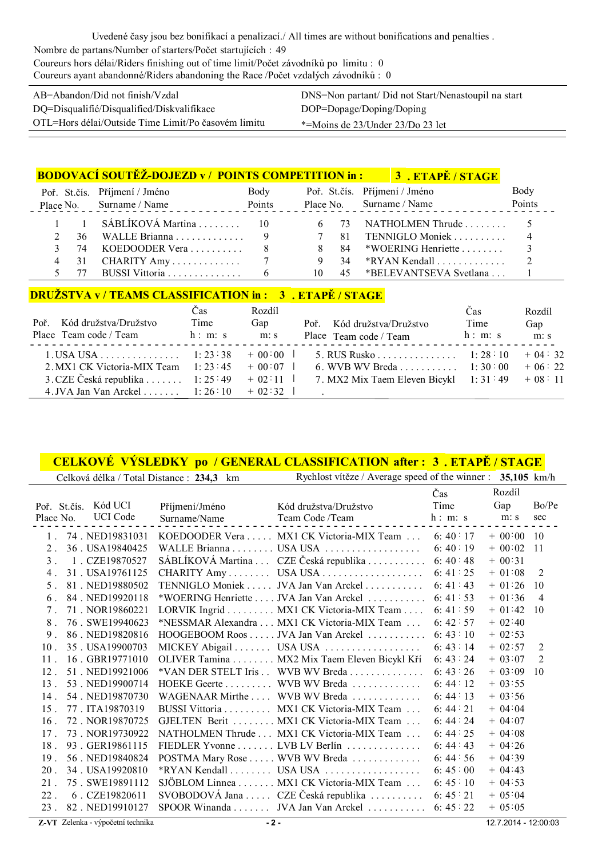| AB=Abandon/Did not finish/Vzdal                     | DNS=Non partant/ Did not Start/Nenastoupil na start |
|-----------------------------------------------------|-----------------------------------------------------|
| DQ=Disqualifié/Disqualified/Diskvalifikace          | DOP=Dopage/Doping/Doping                            |
| OTL=Hors délai/Outside Time Limit/Po časovém limitu | *=Moins de 23/Under 23/Do 23 let                    |

|  |     | <b>BODOVACÍ SOUTĚŽ-DOJEZD v / POINTS COMPETITION in :</b> |        |                |    | <b>3.ETAPĚ/STAGE</b>          |                |
|--|-----|-----------------------------------------------------------|--------|----------------|----|-------------------------------|----------------|
|  |     | Poř. St.čís. Příjmení / Jméno                             | Body   |                |    | Poř. St.čís. Příjmení / Jméno | Body           |
|  |     | Place No. Surname / Name                                  | Points |                |    | Place No. Surname / Name      | Points         |
|  |     | 1 1 SÁBLÍKOVÁ Martina  10                                 |        |                |    | 6 73 NATHOLMEN Thrude  5      |                |
|  |     | 36 WALLE Brianna 9                                        |        | $\overline{7}$ |    | 81 TENNIGLO Moniek            | $\overline{4}$ |
|  | -74 | KOEDOODER Vera $\ldots$                                   | -8     | 8              |    | 84 *WOERING Henriette         |                |
|  | 31  |                                                           |        |                | 34 |                               | 2              |
|  |     | BUSSI Vittoria                                            | 6      | 10             |    | 45 *BELEVANTSEVA Svetlana     |                |

#### **DRUŽSTVA v / TEAMS CLASSIFICATION in : 3 . ETAPĚ / STAGE**

| Kód družstva/Družstvo<br>Poř<br>Place Team code / Team | Cas<br>Time<br>h: m: s | Rozdíl<br>Gap<br>m: s | Poř. Kód družstva/Družstvo<br>Place Team code / Team | Cas<br>Time<br>h: m: s | Rozdíl<br>Gap<br>m: s |
|--------------------------------------------------------|------------------------|-----------------------|------------------------------------------------------|------------------------|-----------------------|
| $1.$ USA USA 1: 23:38 + 00:00                          |                        |                       | 5. RUS Rusko 1: 28:10                                |                        | $+04:32$              |
| 2. MX1 CK Victoria-MIX Team $1: 23: 45 + 00: 07$       |                        |                       | 6. WVB WV Breda 1: 30:00                             |                        | $+06:22$              |
| 3. CZE Česká republika  1:25:49 + 02:11                |                        |                       | 7. MX2 Mix Taem Eleven Bicykl $1: 31: 49 + 08: 11$   |                        |                       |
| 4. JVA Jan Van Arckel 1: $26:10 + 02:32$               |                        |                       |                                                      |                        |                       |

#### **CELKOVÉ VÝSLEDKY po / GENERAL CLASSIFICATION 3 . ETAPĚ / STAGE after :**

| Celková délka / Total Distance : 234,3 km |                | Rychlost vítěze / Average speed of the winner : $35,105$ km/h |                |              |                |
|-------------------------------------------|----------------|---------------------------------------------------------------|----------------|--------------|----------------|
|                                           |                |                                                               | Čas            | Rozdíl       |                |
| Poř. St.čís. Kód UCI                      | Příjmení/Jméno | Kód družstva/Družstvo                                         | Time           | Gap          | Bo/Pe          |
| <b>UCI</b> Code<br>Place No.              | Surname/Name   | Team Code /Team                                               | h: m: s        | m: s         | sec            |
| 74. NED19831031                           |                | KOEDOODER Vera  MX1 CK Victoria-MIX Team  6: 40:17            |                | $+ 00:00 10$ |                |
| 36. USA19840425<br>$2$ .                  |                |                                                               | 6:40:19        | $+ 00:02$    | 11             |
| 1. CZE19870527<br>3 <sup>1</sup>          |                | SÁBLÍKOVÁ Martina  CZE Česká republika                        | 6:40:48        | $+ 00:31$    |                |
| 4 <sub>1</sub><br>31. USA19761125         |                | CHARITY Amy USA USA                                           | 6: 41: 25      | $+ 01:08$    | 2              |
| 81. NED19880502<br>5 <sub>1</sub>         |                | TENNIGLO Moniek JVA Jan Van Arckel                            | 6:41:43        | $+ 01:26$    | 10             |
| 84. NED19920118<br>6.                     |                | *WOERING Henriette JVA Jan Van Arckel                         | 6:41:53        | $+01:36$     | $\overline{4}$ |
| 71 NOR19860221<br>7 <sub>1</sub>          |                | LORVIK Ingrid MX1 CK Victoria-MIX Team                        | 6: 41: 59      | $+ 01:42$    | 10             |
| 8 <sub>1</sub><br>76. SWE19940623         |                | *NESSMAR Alexandra MX1 CK Victoria-MIX Team                   | 6:42:57        | $+ 02:40$    |                |
| 86. NED19820816<br>9 <sub>1</sub>         |                | HOOGEBOOM Roos JVA Jan Van Arckel 6: 43 : 10                  |                | $+ 02:53$    |                |
| 35. USA19900703<br>$10$ .                 |                |                                                               | 6:43:14        | $+ 02:57$    | 2              |
| $11$ .<br>16. GBR19771010                 |                | OLIVER Tamina MX2 Mix Taem Eleven Bicykl Kří                  | 6:43:24        | $+ 03:07$    | $\overline{2}$ |
| $12$ .<br>51 NED19921006                  |                | *VAN DER STELT Iris . WVB WV Breda                            | 6:43:26        | $+ 03:09$    | 10             |
| 13 <sup>2</sup><br>53 NED19900714         |                | HOEKE Geerte WVB WV Breda                                     | 6:44:12        | $+ 03:55$    |                |
| 54 NED19870730<br>$14$ .                  |                | WAGENAAR Mirthe  WVB WV Breda                                 | 6:44:13        | $+ 03:56$    |                |
| $15$ .<br>77. ITA19870319                 |                | BUSSI Vittoria MX1 CK Victoria-MIX Team                       | 6:44:21        | $+ 04:04$    |                |
| $16$ .<br>72. NOR19870725                 |                | GJELTEN Berit MX1 CK Victoria-MIX Team                        | 6:44:24        | $+ 04:07$    |                |
| 73 NOR19730922<br>17 <sup>2</sup>         |                | NATHOLMEN Thrude  MX1 CK Victoria-MIX Team                    | 6:44:25        | $+04:08$     |                |
| 18.<br>93. GER19861115                    |                | FIEDLER Yvonne LVB LV Berlín                                  | 6:44:43        | $+04:26$     |                |
| 19 <sup>19</sup><br>56. NED19840824       |                | POSTMA Mary Rose WVB WV Breda                                 | 6:44:56        | $+04:39$     |                |
| 34. USA19920810<br>$20$ .                 |                |                                                               | 6:45:00        | $+ 04:43$    |                |
| 21.<br>75. SWE19891112                    |                | SJÖBLOM Linnea MX1 CK Victoria-MIX Team                       | 6:45:10        | $+ 04:53$    |                |
| $22$ .<br>6. CZE19820611                  |                | SVOBODOVÁ Jana  CZE Česká republika                           | 6:45 $\div$ 21 | $+ 05:04$    |                |
| $23$ .<br>82. NED19910127                 |                | SPOOR Winanda JVA Jan Van Arckel                              | 6:45:22        | $+ 05:05$    |                |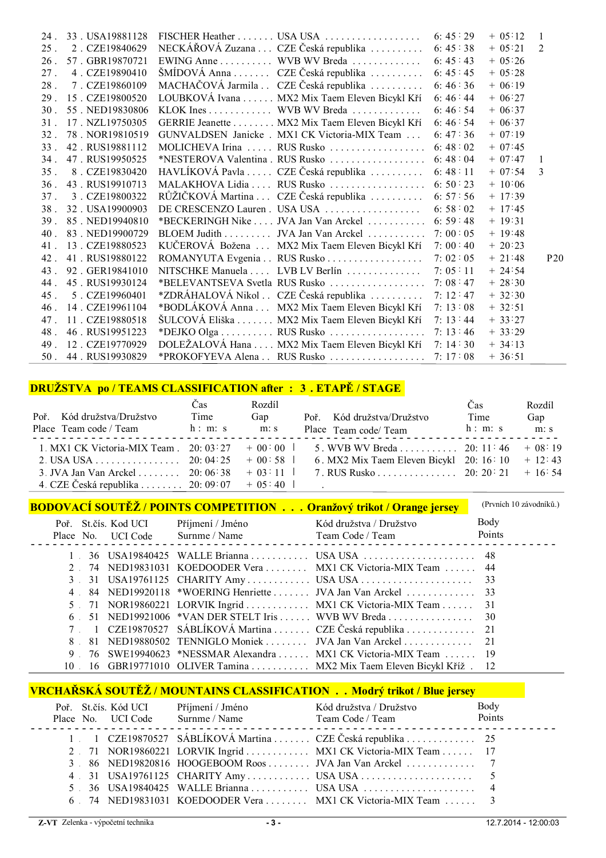|                 | 24. 33. USA19881128    |                                                                          |         | $+ 05:12$ | $\overline{1}$  |
|-----------------|------------------------|--------------------------------------------------------------------------|---------|-----------|-----------------|
| $25$ .          | 2 CZE19840629          | NECKÁŘOVÁ Zuzana  CZE Česká republika  6: 45:38                          |         | $+ 05:21$ | 2               |
| $26$ .          | 57 GBR19870721         | EWING Anne WVB WV Breda 6: 45:43                                         |         | $+05:26$  |                 |
| 27 <sub>1</sub> | 4. CZE19890410         | ŠMÍDOVÁ Anna  CZE Česká republika  6: 45 45                              |         | $+05:28$  |                 |
| 28 <sub>1</sub> | 7. CZE19860109         | MACHAČOVÁ Jarmila . CZE Česká republika 6: 46:36                         |         | $+06:19$  |                 |
|                 | 29. 15. CZE19800520    | LOUBKOVÁ Ivana  MX2 Mix Taem Eleven Bicykl Kří 6: 46 : 44                |         | $+ 06:27$ |                 |
| 30 <sup>2</sup> | 55 NED19830806         | KLOK Ines WVB WV Breda 6: 46: 54                                         |         | $+06:37$  |                 |
|                 | 31 17 NZL19750305      | GERRIE Jeanette MX2 Mix Taem Eleven Bicykl Kří 6: 46: 54                 |         | $+06:37$  |                 |
| 32 <sup>2</sup> | 78 NOR19810519         | GUNVALDSEN Janicke . MX1 CK Victoria-MIX Team  6: 47:36                  |         | $+ 07:19$ |                 |
| 33 <sup>1</sup> | 42 RUS19881112         | MOLICHEVA Irina  RUS Rusko  6: 48 02                                     |         | $+ 07:45$ |                 |
| 34 <sup>2</sup> | 47 RUS19950525         |                                                                          |         | $+ 07:47$ | $\overline{1}$  |
| 35 <sub>1</sub> | 8 CZE19830420          | HAVLÍKOVÁ Pavla  CZE Česká republika  6:48:11                            |         | $+07:54$  | $\mathcal{R}$   |
|                 | 36 43 RUS19910713      | MALAKHOVA Lidia  RUS Rusko  6:50:23                                      |         | $+10:06$  |                 |
| 37 <sub>1</sub> | 3. CZE19800322         | RŮŽIČKOVÁ Martina  CZE Česká republika  6: 57:56                         |         | $+ 17:39$ |                 |
|                 | 38 . 32 . USA 19900903 |                                                                          |         | $+ 17:45$ |                 |
|                 | 39 85 NED19940810      | *BECKERINGH Nike  JVA Jan Van Arckel  6:59:48                            |         | $+ 19:31$ |                 |
|                 | 40 83 NED19900729      | BLOEM Judith JVA Jan Van Arckel 7: 00 : 05                               |         | $+ 19:48$ |                 |
|                 | 41 13 CZE19880523      | KUČEROVÁ Božena  MX2 Mix Taem Eleven Bicykl Kří 7:00:40                  |         | $+20:23$  |                 |
|                 | 42 41 RUS19880122      | ROMANYUTA Evgenia RUS Rusko 7: 02:05                                     |         | $+21:48$  | P <sub>20</sub> |
| $43-1$          | 92. GER19841010        | NITSCHKE Manuela  LVB LV Berlín  7:05:11                                 |         | $+24:54$  |                 |
|                 | 44. 45. RUS19930124    |                                                                          |         | $+28:30$  |                 |
| 45 <sub>1</sub> | 5 CZE19960401          | *ZDRÁHALOVÁ Nikol $\therefore$ CZE Česká republika $\therefore$ 7: 12:47 |         | $+32:30$  |                 |
|                 | 46. 14. CZE19961104    | *BODLÁKOVÁ Anna  MX2 Mix Taem Eleven Bicykl Kří                          | 7:13:08 | $+32:51$  |                 |
| 47 <sub>1</sub> | 11 . CZE19880518       | ŠULCOVÁ Eliška MX2 Mix Taem Eleven Bicykl Kří 7: 13 44                   |         | $+33:27$  |                 |
| 48 <sup>1</sup> | 46 RUS19951223         | *DEJKO Olga RUS Rusko 7: 13:46                                           |         | $+33:29$  |                 |
|                 | 49. 12. CZE19770929    | DOLEŽALOVÁ Hana  MX2 Mix Taem Eleven Bicykl Kří 7: 14:30                 |         | $+ 34:13$ |                 |
|                 | 50 . 44 . RUS19930829  | *PROKOFYEVA Alena . RUS Rusko 7: 17:08                                   |         | $+36:51$  |                 |

# **DRUŽSTVA po / TEAMS CLASSIFICATION after : 3 . ETAPĚ / STAGE**

| Poř. Kód družstva/Družstvo<br>Place Team code / Team                                 | Cas<br>Time<br>h: m: s | Rozdíl<br>Gap<br>m: s | Poř. Kód družstva/Družstvo<br>Place Team code/Team                                                                                                  | Čas<br>Time<br>h: m: s | Rozdíl<br>Gap<br>m: s |
|--------------------------------------------------------------------------------------|------------------------|-----------------------|-----------------------------------------------------------------------------------------------------------------------------------------------------|------------------------|-----------------------|
| 2. USA USA 20: 04: 25 $+$ 00: 58                                                     |                        |                       | 1. MX1 CK Victoria-MIX Team . 20: 03:27 + 00: 00   5. WVB WV Breda 20: 11:46 + 08:19<br>6. MX2 Mix Taem Eleven Bicykl 20: $16 \div 10 + 12 \div 43$ |                        |                       |
| 3. JVA Jan Van Arckel  20:06:38 $+03:11$<br>4. CZE Česká republika  20:09:07 + 05:40 |                        |                       | 7. RUS Rusko 20: 20: 21 $+$ 16: 54                                                                                                                  |                        |                       |

|           |                      | <b>BODOVACÍ SOUTĚŽ / POINTS COMPETITION Oranžový trikot / Orange jersey</b> | (Prvních 10 závodníků.) |
|-----------|----------------------|-----------------------------------------------------------------------------|-------------------------|
|           | Poř. St.čís. Kod UCI | Příjmení / Jméno Kód družstva / Družstvo                                    | Body                    |
|           | Place No. UCI Code   | Surnme / Name Team Code / Team Code Team Points                             |                         |
|           |                      | 36 USA19840425 WALLE Brianna USA USA 48                                     |                         |
|           |                      | 2 74 NED19831031 KOEDOODER Vera  MX1 CK Victoria-MIX Team  44               |                         |
|           |                      |                                                                             |                         |
| $4 \quad$ |                      |                                                                             |                         |
|           |                      | 5 71 NOR19860221 LORVIK Ingrid  MX1 CK Victoria-MIX Team  31                |                         |
|           |                      |                                                                             |                         |
|           |                      | 7 1 CZE19870527 SÁBLÍKOVÁ Martina  CZE Česká republika  21                  |                         |
|           |                      | 8 81 NED19880502 TENNIGLO Moniek JVA Jan Van Arckel 21                      |                         |
|           |                      | 9 76 SWE19940623 *NESSMAR Alexandra  MX1 CK Victoria-MIX Team  19           |                         |
| 10        |                      | 16 GBR19771010 OLIVER Tamina  MX2 Mix Taem Eleven Bicykl Kříž. 12           |                         |

# **VRCHAŘSKÁ SOUTĚŽ / MOUNTAINS CLASSIFICATION . . Modrý trikot / Blue jersey**

|  | Poř. St.čís. Kód UCI | Příjmení / Jméno | Kód družstva / Družstvo                                      | Body |
|--|----------------------|------------------|--------------------------------------------------------------|------|
|  | Place No. UCI Code   |                  | Surnme / Name Team Code / Team Code Team Points              |      |
|  |                      |                  | 1 CZE19870527 SÁBLÍKOVÁ Martina  CZE Česká republika  25     |      |
|  |                      |                  | 2 71 NOR19860221 LORVIK Ingrid  MX1 CK Victoria-MIX Team  17 |      |
|  |                      |                  | 3 86 NED19820816 HOOGEBOOM Roos VA Jan Van Arckel 7          |      |
|  |                      |                  |                                                              |      |
|  |                      |                  |                                                              |      |
|  |                      |                  | 6 74 NED19831031 KOEDOODER Vera  MX1 CK Victoria-MIX Team  3 |      |